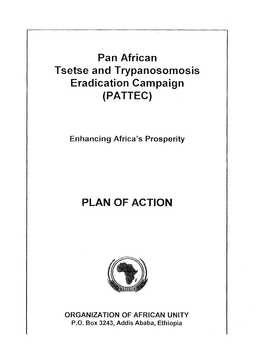# **Pan African Tsetse and Trypanosomosis Eradication Campaign (PATTEC)**

**Enhancing Africa's Prosperity** 

# **PLAN OF ACTION**



**ORGANIZATION OF AFRICAN UNITY P.O. Box 3243, Addis Ababa, Ethiopia**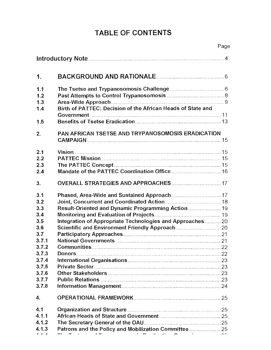# **TABLE OF CONTENTS**

|       |                                                             | Page |
|-------|-------------------------------------------------------------|------|
|       |                                                             |      |
| 1.    |                                                             |      |
| 1.1   |                                                             |      |
| 1.2   |                                                             |      |
| 1.3   |                                                             |      |
| 1.4   | Birth of PATTEC: Decision of the African Heads of State and |      |
|       |                                                             |      |
| 1.5   |                                                             |      |
| 2.    | PAN AFRICAN TSETSE AND TRYPANOSOMOSIS ERADICATION           |      |
|       |                                                             |      |
| 2.1   |                                                             |      |
| 2.2   |                                                             |      |
| 2.3   |                                                             |      |
| 2.4   |                                                             |      |
| 3.    | OVERALL STRATEGIES AND APPROACHES 17                        |      |
| 3.1   |                                                             |      |
| 3.2   |                                                             |      |
| 3.3   | Result-Oriented and Dynamic Programming Action 19           |      |
| 3.4   |                                                             |      |
| 3.5   | Integration of Appropriate Technologies and Approaches 20   |      |
| 3.6   |                                                             |      |
| 3.7   |                                                             |      |
| 3.7.1 |                                                             |      |
| 3.7.2 |                                                             |      |
| 3.7.3 |                                                             |      |
| 3.7.4 |                                                             |      |
| 3.7.5 |                                                             |      |
| 3.7.6 |                                                             |      |
| 3.7.7 |                                                             |      |
| 3.7.8 |                                                             |      |
| 4.    |                                                             |      |
| 4.1   |                                                             |      |
| 4.1.1 |                                                             |      |
| 4.1.2 |                                                             |      |
| 4.1.3 | Patrons and the Policy and Mobilization Committee 25        |      |
|       |                                                             |      |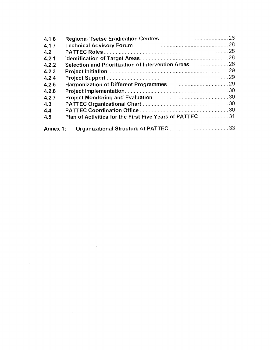| 4.1.6    |                                                         | 26  |
|----------|---------------------------------------------------------|-----|
| 4.1.7    |                                                         |     |
| 4.2      |                                                         | 28  |
| 4.2.1    |                                                         | 28  |
| 4.2.2    | Selection and Prioritization of Intervention Areas  28  |     |
| 4.2.3    |                                                         | 29  |
| 4.2.4    |                                                         |     |
| 4.2.5    |                                                         |     |
| 4.2.6    |                                                         |     |
| 4.2.7    |                                                         | .30 |
| 4.3      |                                                         |     |
| 4.4      |                                                         |     |
| 4.5      | Plan of Activities for the First Five Years of PATTEC31 |     |
| Annex 1: |                                                         |     |

 $\label{eq:1} \mathcal{L}(\mathcal{L}(\mathbf{X})\otimes\mathcal{L}(\mathbf{X}))=\mathcal{L}(\mathcal{L}(\mathbf{X}))\otimes\mathcal{L}(\mathbf{X})$ 

 $\label{eq:2.1} \mathcal{L}^{\mathcal{A}}_{\mathcal{A}}(\mathcal{A})=\mathcal{L}^{\mathcal{A}}_{\mathcal{A}}(\mathcal{A})\otimes\mathcal{L}^{\mathcal{A}}_{\mathcal{A}}(\mathcal{A})\otimes\mathcal{L}^{\mathcal{A}}_{\mathcal{A}}(\mathcal{A})$ 

 $\label{eq:2.1} \frac{1}{\sqrt{2}}\int_{\mathbb{R}^3}\frac{1}{\sqrt{2}}\left(\frac{1}{\sqrt{2}}\right)^2\frac{1}{\sqrt{2}}\left(\frac{1}{\sqrt{2}}\right)^2\frac{1}{\sqrt{2}}\left(\frac{1}{\sqrt{2}}\right)^2\frac{1}{\sqrt{2}}\left(\frac{1}{\sqrt{2}}\right)^2\frac{1}{\sqrt{2}}\left(\frac{1}{\sqrt{2}}\right)^2\frac{1}{\sqrt{2}}\frac{1}{\sqrt{2}}\frac{1}{\sqrt{2}}\frac{1}{\sqrt{2}}\frac{1}{\sqrt{2}}\frac{1}{\sqrt{2}}$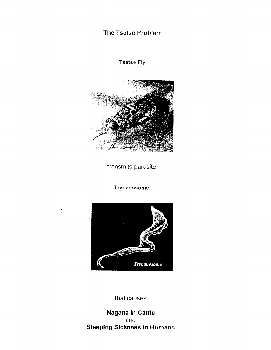# The Tsetse Problem

Tsetse Fly



transmits parasite

Trypanosome



that causes

**Nagana in Cattle**  and **Sleeping Sickness in Humans**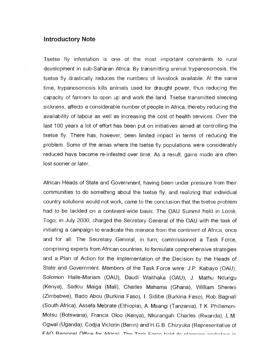#### **Introductory Note**

Tsetse fly infestation is one of the most important constraints to rural development in sub-Saharan Africa. By transmitting animal trypanosomosis, the tsetse fly drastically reduces the numbers of livestock available. At the same time, trypanosomosis kills animals used for draught power, thus reducing the capacity of farmers to open up and work the land. Tsetse transmitted sleeping sickness, affects a considerable number of people in Africa, thereby reducing the availability of labour as well as increasing the cost of health services. Over the last 100 years a lot of effort has been put on initiatives aimed at controlling the tsetse fly. There has, however, been limited impact in terms of reducing the problem. Some of the areas where the tsetse fly populations were considerably reduced have become re-infested over time. As a result, gains made are often lost sooner or later.

African Heads of State and Government, having been under pressure from their communities to do something about the tsetse fly, and realizing that individual country solutions would not work, came to the conclusion that the tsetse problem had to be tackled on a continent-wide basis. The OAU Summit held in Lomé, Togo, in July 2000, charged the Secretary General of the OAU with the task of initiating a campaign to eradicate this menace from the continent of Africa, once and for all. The Secretary General, in turn, commissioned a Task Force, comprising experts from African countries, to formulate comprehensive strategies and a Plan of Action for the implementation of the Decision by the Heads of State and Government. Members of the Task Force were: J.P. Kabayo (OAU), Solomon Haile-Mariam (OAU), Daudi Waithaka (OAU), J. Mathu Ndungu (Kenya), Sadou Maiga (Mali), Charles Mahama (Ghana), William Shereni (Zimbabwe), Bado Abou (Burkina Faso), I. Sidibe (Burkina Faso), Rob Bagnall (South Africa), Assefa Mebrate (Ethiopia), A. Msangi (Tanzania), T.K. Phillemon-Motsu (Botswana), Francis Oloo (Kenya), Nkurangah Charles (Rwanda), L.M. Ogwal (Uganda), Codjia Victorin (Benin) and H.G.B. Chizyuka (Representative of FAN Regional Office for Africa). The Took Earen hold its planning workshep in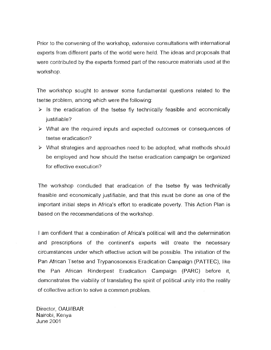Prior to the convening of the workshop, extensive consultations with international experts from different parts of the world were held. The ideas and proposals that were contributed by the experts formed part of the resource materials used at the workshop.

The workshop sought to answer some fundamental questions related to the tsetse problem, among which were the following:

- $\triangleright$  is the eradication of the tsetse fly technically feasible and economically justifiable?
- $\triangleright$  What are the required inputs and expected outcomes or consequences of tsetse eradication?
- $\triangleright$  What strategies and approaches need to be adopted, what methods should be employed and how should the tsetse eradication campaign be organized for effective execution?

The workshop concluded that eradication of the tsetse fly was technically feasible and economically justifiable, and that this must be done as one of the important initial steps in Africa's effort to eradicate poverty. This Action Plan is based on the recommendations of the workshop.

I am confident that a combination of Africa's political will and the determination and prescriptions of the continent's experts will create the necessary circumstances under which effective action will be possible. The initiation of the Pan African Tsetse and Trypanosomosis Eradication Campaign (PATTEC), like the Pan African Rinderpest Eradication Campaign (PARC) before it, demonstrates the viability of translating the spirit of political unity into the reality of collective action to solve a common problem.

Director, OAU/IBAR Nairobi, Kenya June 2001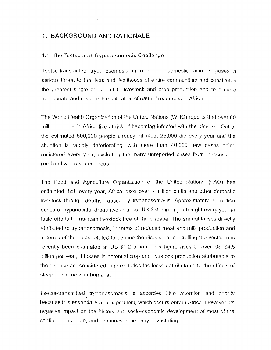#### 1. BACKGROUND AND RATIONALE

#### 1.1 The Tsetse and Trypanosomosis Challenge

Tsetse-transmitted trypanosomosis in man and domestic animals poses a serious threat to the lives and livelihoods of entire communities and constitutes the greatest single constraint to livestock and crop production and to a more appropriate and responsible utilization of natural resources in Africa.

The World Health Organization of the United Nations (WHO) reports that over 60 million people in Africa live at risk of becoming infected with the disease. Out of the estimated 500,000 people already infected, 25,000 die every year and the situation is rapidly deteriorating, with more than 40,000 new cases being registered every year, excluding the many unreported cases from inaccessible rural and war-ravaged areas.

The Food and Agriculture Organization of the United Nations (FAO) has estimated that, every year, Africa loses over 3 million cattle and other domestic livestock through deaths caused by trypanosomosis. Approximately 35 million doses of trypanocidal drugs (worth about US \$35 million) is bought every year in futile efforts to maintain livestock free of the disease. The annual losses directly attributed to trypanosomosis, in terms of reduced meat and milk production and in terms of the costs related to treating the disease or controlling the vector, has recently been estimated at US \$1.2 billion. This figure rises to over US \$4.5 billion per year, if losses in potential crop and livestock production attributable to the disease are considered, and excludes the losses attributable to the effects of steeping sickness in humans.

Tsetse-transmitted trypanosomosis is accorded little attention and priority because it is essentially a rural problem, which occurs only in Africa. However, its negative impact on the history and socio-economic development of most of the continent has been, and continues to he, very devastating.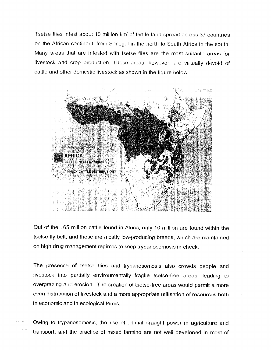Tsetse flies infest about 10 million  $km<sup>2</sup>$  of fertile land spread across 37 countries on the African continent, from Senegal in the north to South Africa in the south. Many areas that are infested with tsetse flies are the most suitable areas for livestock and crop production. These areas, however, are virtually devoid of cattle and other domestic livestock as shown in the figure below.



Out of the 165 million cattle found in Africa, only 10 million are found within the tsetse fly belt, and these are mostly low-producing breeds, which are maintained on high drug management regimes to keep trypanosomosis in check.

The presence of tsetse flies and trypanosomosis also crowds people and livestock into partially environmentally fragile tsetse-free areas, leading to overgrazing and erosion. The creation of tsetse-free areas would permit a more even distribution of livestock and a more appropriate utilisation of resources both in economic and in ecological terms.

Owing to trypanosomosis, the use of animal draught power in agriculture and transport, and the practice of mixed farming are not well developed in most of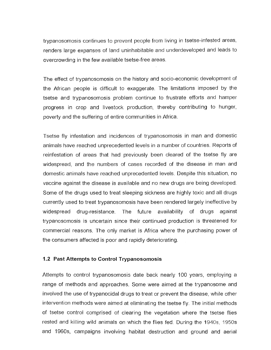trypanosomosis continues to prevent people from living in tsetse-infested areas, renders large expanses of land uninhabitable and underdeveloped and leads to overcrowding in the few available tsetse-free areas.

The effect of trypanosomosis on the history and socio-economic development of the African people is difficult to exaggerate. The limitations imposed by the tsetse and trypanosomosis problem continue to frustrate efforts and hamper progress in crop and livestock production, thereby contributing to hunger, poverty and the suffering of entire communities in Africa.

Tsetse fly infestation and incidences of trypanosomosis in man and domestic animals have reached unprecedented levels in a number of countries. Reports of reinfestation of areas that had previously been cleared of the tsetse fly are widespread, and the numbers of cases recorded of the disease in man and domestic animals have reached unprecedented levels. Despite this situation, no vaccine against the disease is available and no new drugs are being developed. Some of the drugs used to treat sleeping sickness are highly toxic and all drugs currently used to treat trypanosomosis have been rendered largely ineffective by widespread drug-resistance. The future availability of drugs against trypanosomosis is uncertain since their continued production is threatened for commercial reasons. The only market is Africa where the purchasing power of the consumers affected is poor and rapidly deteriorating.

#### **1.2 Past Attempts to Control Trypanosomosis**

Attempts to control trypanosomosis date back nearly 100 years, employing a range of methods and approaches. Some were aimed at the trypanosome and involved the use of trypanocidal drugs to treat or prevent the disease, while other intervention methods were aimed at eliminating the tsetse fly. The initial methods of tsetse control comprised of clearing the vegetation where the tsetse flies rested and killing wild animals on which the flies fed. During the 1940s, 1950s and 1960s, campaigns involving habitat destruction and ground and aerial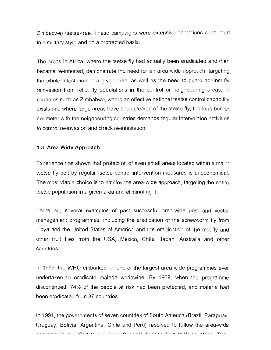Zimbabwe) tsetse-free. These campaigns were extensive operations conducted in a military style and on a protracted basis.

The areas in Africa, where the tsetse fly had actually been eradicated and then became re-infested, demonstrate the need for an area-wide approach, targeting the whole infestation of a given area, as well as the need to guard against fly reinvasion from relict fly populations in the control or neighbouring areas. In countries such as Zimbabwe, where an effective national tsetse control capability exists and where large areas have been cleared of the tsetse fly, the long border perimeter with the neighbouring countries demands regular intervention activities to control re-invasion and check re-infestation.

# **1.3 Area-Wide Approach**

Experience has shown that protection of even small areas located within a major tsetse fly belt by regular tsetse control intervention measures is uneconomical. The most viable choice is to employ the area-wide approach, targeting the entire tsetse population in a given area and eliminating it.

There are several examples of past successful area-wide pest and vector management programmes, including the eradication of the screwworm fly from Libya and the United States of America and the eradication of the medfly and other fruit flies from the USA, Mexico, Chile, Japan, Australia and other countries.

In 1955, the WHO embarked on one of the largest area-wide programmes ever undertaken to eradicate malaria worldwide. By 1969, when the programme discontinued, 74% of the people at risk had been protected, and malaria had been eradicated from 37 countries.

In 1991, the governments of seven countries of South America (Brazil, Paraguay, Uruguay, Bolivia, Argentina, Chile and Peru) resolved to follow the area-wide annroach in an offert to aradiacta Chogoa' diocono from thoir countries. Thou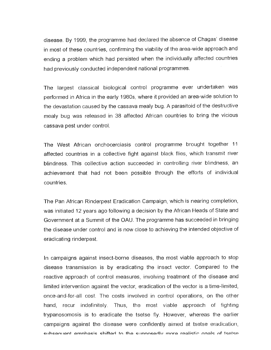disease. By 1999, the programme had declared the absence of Chagas' disease in most of these countries, confirming the viability of the area-wide approach and ending a problem which had persisted when the individually affected countries had previously conducted independent national programmes.

The largest classical biological control programme ever undertaken was performed in Africa in the early 1980s, where it provided an area-wide solution to the devastation caused by the cassava mealy bug. A parasitoid of the destructive mealy bug was released in 38 affected African countries to bring the vicious cassava pest under control.

The West African onchocerciasis control programme brought together 11 affected countries in a collective fight against black flies, which transmit river blindness. This collective action succeeded in controlling river blindness, an achievement that had not been possible through the efforts of individual countries.

The Pan African Rinderpest Eradication Campaign, which is nearing completion, was initiated 12 years ago following a decision by the African Heads of State and Government at a Summit of the OAU. The programme has succeeded in bringing the disease under control and is now close to achieving the intended objective of eradicating rinderpest.

In campaigns against insect-borne diseases, the most viable approach to stop disease transmission is by eradicating the insect vector. Compared to the reactive approach of control measures, involving treatment of the disease and limited intervention against the vector, eradication of the vector is a time-limited, once-and-for-all cost. The costs involved in control operations, on the other hand, recur indefinitely. Thus, the most viable approach of fighting trypanosomosis is to eradicate the tsetse fly. However, whereas the earlier campaigns against the disease were confidently aimed at tsetse eradication, cribearii amnhacic chiftad to tha crinnocarly mora raalistic noals of tsatsa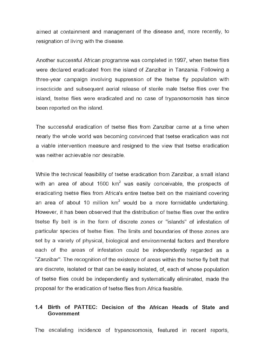aimed at containment and management of the disease and, more recently, to resignation of living with the disease.

Another successful African programme was completed in 1997, when tsetse flies were declared eradicated from the island of Zanzibar in Tanzania. Following a three-year campaign involving suppression of the tsetse fly population with insecticide and subsequent aerial release of sterile male tsetse flies over the island, tsetse flies were eradicated and no case of trypanosomosis has since been reported on the island.

The successful eradication of tsetse flies from Zanzibar came at a time when nearly the whole world was becoming convinced that tsetse eradication was not a viable intervention measure and resigned to the view that tsetse eradication was neither achievable nor desirable.

While the technical feasibility of tsetse eradication from Zanzibar, a small island with an area of about 1600  $km^2$  was easily conceivable, the prospects of eradicating tsetse flies from Africa's entire tsetse belt on the mainland covering an area of about 10 million  $km^2$  would be a more formidable undertaking. However, it has been observed that the distribution of tsetse flies over the entire tsetse fly belt is in the form of discrete zones or "islands" of infestation of particular species of tsetse flies. The limits and boundaries of these zones are set by a variety of physical, biological and environmental factors and therefore each of the areas of infestation could be independently regarded as a "Zanzibar". The recognition of the existence of areas within the tsetse fly belt that are discrete, isolated or that can be easily isolated, of, each of whose population of tsetse flies could be independently and systematically eliminated, made the proposal for the eradication of tsetse flies from Africa feasible.

# **1.4 Birth of PATTEC: Decision of the African Heads of State and Government**

The escalating incidence of trypanosomosis, featured in recent reports,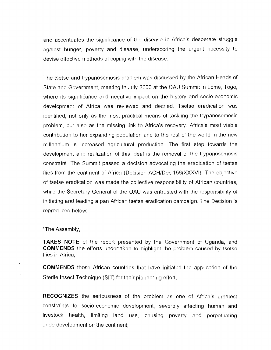and accentuates the significance of the disease in Africa's desperate struggle against hunger, poverty and disease, underscoring the urgent necessity to devise effective methods of coping with the disease.

The tsetse and trypanosomosis problem was discussed by the African Heads of State and Government, meeting in July 2000 at the OAU Summit in Lome, Togo, where its significance and negative impact on the history and socio-economic development of Africa was reviewed and decried. Tsetse eradication was identified, not only as the most practical means of tackling the trypanosomosis problem, but also as the missing link to Africa's recovery. Africa's most viable contribution to her expanding population and to the rest of the world in the new millennium is increased agricultural production. The first step towards the development and realization of this ideal is the removal of the trypanosomosis constraint. The Summit passed a decision advocating the eradication of tsetse flies from the continent of Africa (Decision AGH/Dec.156(XXXVI). The objective of tsetse eradication was made the collective responsibility of African countries, while the Secretary General of the OAU was entrusted with the responsibility of initiating and leading a pan African tsetse eradication campaign. The Decision is reproduced below:

"The Assembly,

**TAKES NOTE** of the report presented by the Government of Uganda, and **COMMENDS** the efforts undertaken to highlight the problem caused by tsetse flies in Africa;

**COMMENDS** those African countries that have initiated the application of the Sterile Insect Technique (SIT) for their pioneering effort;

**RECOGNIZES** the seriousness of the problem as one of Africa's greatest constraints to socio-economic development, severely affecting human and livestock health, limiting land use, causing poverty and perpetuating underdevelopment on the continent;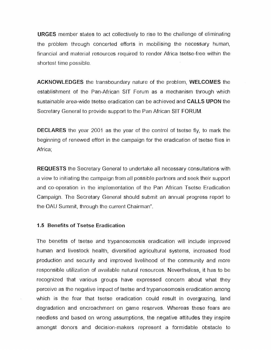**URGES** member states to act collectively to rise to the challenge of eliminating the problem through concerted efforts in mobilising the necessary human, financial and material resources required to render Africa tsetse-free within the shortest time possible.

**ACKNOWLEDGES** the transboundary nature of the problem, **WELCOMES** the establishment of the Pan-African SIT Forum as a mechanism through which sustainable area-wide tsetse eradication can be achieved and **CALLS UPON** the Secretary General to provide support to the Pan African SIT FORUM.

**DECLARES** the year 2001 as the year of the control of tsetse fly, to mark the beginning of renewed effort in the campaign for the eradication of tsetse flies in Africa:

**REQUESTS** the Secretary General to undertake all necessary consultations with a view to initiating the campaign from all possible partners and seek their support and co-operation in the implementation of the Pan African Tsetse Eradication Campaign. The Secretary General should submit an annual progress report to the OAU Summit, through the current Chairman".

#### **1.5 Benefits of Tsetse Eradication**

The benefits of tsetse and trypanosomosis eradication will include improved human and livestock health, diversified agricultural systems, increased food production and security and improved livelihood of the community and more responsible utilization of available natural resources. Nevertheless, it has to be recognized that various groups have expressed concern about what they perceive as the negative impact of tsetse and trypanosomosis eradication among which is the fear that tsetse eradication could result in overgrazing, land degradation and encroachment on game reserves. Whereas these fears are needless and based on wrong assumptions, the negative attitudes they inspire amongst donors and decision-makers represent a formidable obstacle to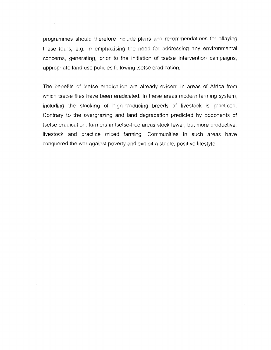programmes should therefore include plans and recommendations for allaying these fears, e.g. in emphazising the need for addressing any environmental concerns, generating, prior to the initiation of tsetse intervention campaigns, appropriate land use policies following tsetse eradication.

The benefits of tsetse eradication are already evident in areas of Africa from which tsetse flies have been eradicated. In these areas modern farming system, including the stocking of high-producing breeds of livestock is practiced. Contrary to the overgrazing and land degradation predicted by opponents of tsetse eradication, farmers in tsetse-free areas stock fewer, but more productive, livestock and practice mixed farming. Communities in such areas have conquered the war against poverty and exhibit a stable, positive lifestyle.

 $\mathcal{L}_{\mathcal{A}}$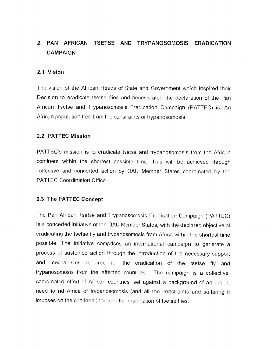# **2. PAN AFRICAN TSETSE AND TRYPANOSOMOSIS ERADICATION CAMPAIGN**

#### **2.1 Vision**

The vision of the African Heads of State and Government which inspired their Decision to eradicate tsetse flies and necessitated the declaration of the Pan African Tsetse and Trypanosomosis Eradication Campaign (PATTEC) is: An African population free from the constraints of trypanosomosis.

#### **2.2 PATTEC Mission**

PATTEC's mission is to eradicate tsetse and trypanosomosis from the African continent within the shortest possible time. This will be achieved through collective and concerted action by OAU Member States coordinated by the PATTEC Coordination Office.

#### **2.3 The PATTEC Concept**

The Pan African Tsetse and Trypanosomosis Eradication Campaign (PATTEC) is a concerted initiative of the OAU Member States, with the declared objective of eradicating the tsetse fly and trypanosomosis from Africa within the shortest time possible. The initiative comprises an international campaign to generate a process of sustained action through the introduction of the necessary support and mechanisms required for the eradication of the tsetse fly and trypanosomosis from the affected countries. The campaign is a collective, coordinated effort of African countries, set against a background of an urgent need to rid Africa of trypanosomosis (and all the constraints and suffering it imposes on the continent) through the eradication of tsetse flies.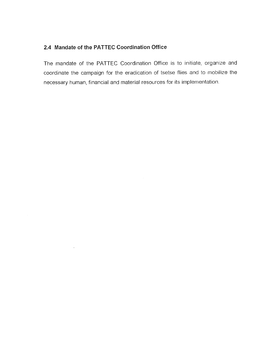# **2.4 Mandate of the PATTEC Coordination Office**

 $\mathcal{A}^{\mathcal{A}}$ 

The mandate of the PATTEC Coordination Office is to initiate, organize and coordinate the campaign for the eradication of tsetse flies and to mobilize the necessary human, financial and material resources for its implementation.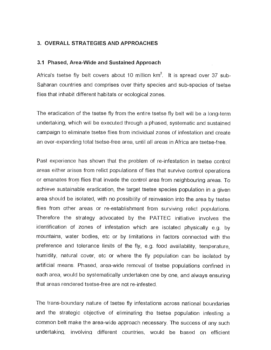#### **3. OVERALL STRATEGIES AND APPROACHES**

#### **3.1 Phased, Area-Wide and Sustained Approach**

Africa's tsetse fly belt covers about 10 million  $km^2$ . It is spread over 37 sub-Saharan countries and comprises over thirty species and sub-species of tsetse flies that inhabit different habitats or ecological zones.

The eradication of the tsetse fly from the entire tsetse fly belt will be a long-term undertaking, which will be executed through a phased, systematic and sustained campaign to eliminate tsetse flies from individual zones of infestation and create an ever-expanding total tsetse-free area, until all areas in Africa are tsetse-free.

Past experience has shown that the problem of re-infestation in tsetse control areas either arises from relict populations of flies that survive control operations or emanates from flies that invade the control area from neighbouring areas. To achieve sustainable eradication, the target tsetse species population in a given area should be isolated, with no possibility of reinvasion into the area by tsetse flies from other areas or re-establishment from surviving relict populations. Therefore the strategy advocated by the PATTEC initiative involves the identification of zones of infestation which are isolated physically e.g. by mountains, water bodies, etc or by limitations in factors connected with the preference and tolerance limits of the fly, e.g. food availability, temperature, humidity, natural cover, etc or where the fly population can be isolated by artificial means. Phased, area-wide removal of tsetse populations confined in each area, would be systematically undertaken one by one, and always ensuring that areas rendered tsetse-free are not re-infested.

The trans-boundary nature of tsetse fly infestations across national boundaries and the strategic objective of eliminating the tsetse population infesting a common belt make the area-wide approach necessary. The success of any such undertaking, involving different countries, would be based on efficient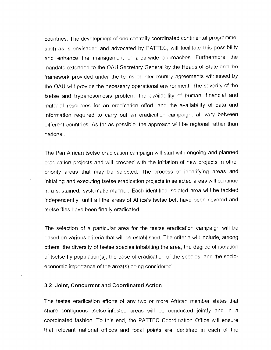countries. The development of one centrally coordinated continental programme, such as is envisaged and advocated by PATTEC, will facilitate this possibility and enhance the management of area-wide approaches. Furthermore, the mandate extended to the OAU Secretary General by the Heads of State and the framework provided under the terms of inter-country agreements witnessed by the OAU will provide the necessary operational environment. The severity of the tsetse and trypanosomosis problem, the availability of human, financial and material resources for an eradication effort, and the availability of data and information required to carry out an eradication campaign, all vary between different countries. As far as possible, the approach will be regional rather than national.

The Pan African tsetse eradication campaign will start with ongoing and planned eradication projects and will proceed with the initiation of new projects in other priority areas that may be selected. The process of identifying areas and initiating and executing tsetse eradication projects in selected areas will continue in a sustained, systematic manner. Each identified isolated area will be tackled independently, until all the areas of Africa's tsetse belt have been covered and tsetse flies have been finally eradicated.

The selection of a particular area for the tsetse eradication campaign will be based on various criteria that will be established. The criteria will include, among others, the diversity of tsetse species inhabiting the area, the degree of isolation of tsetse fly population(s), the ease of eradication of the species, and the socioeconomic importance of the area(s) being considered.

#### **3.2 Joint, Concurrent and Coordinated Action**

The tsetse eradication efforts of any two or more African member states that share contiguous tsetse-infested areas will be conducted jointly and in a coordinated fashion. To this end, the PATTEC Coordination Office will ensure that relevant national offices and focal points are identified in each of the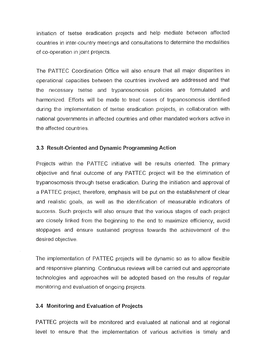initiation of tsetse eradication projects and help mediate between affected countries in inter-country meetings and consultations to determine the modalities of co-operation in joint projects.

The PATTEC Coordination Office will also ensure that all major disparities in operational capacities between the countries involved are addressed and that the necessary tsetse and trypanosomosis policies are formulated and harmonized. Efforts will be made to treat cases of trypanosomosis identified during the implementation of tsetse eradication projects, in collaboration with national governments in affected countries and other mandated workers active in the affected countries.

#### **3.3 Result-Oriented and Dynamic Programming Action**

Projects within the PATTEC initiative will be results oriented. The primary objective and final outcome of any PATTEC project will be the elimination of trypanosomosis through tsetse eradication. During the initiation and approval of a PATTEC project, therefore, emphasis will be put on the establishment of clear and realistic goals, as well as the identification of measurable indicators of success. Such projects will also ensure that the various stages of each project are closely linked from the beginning to the end to maximize efficiency, avoid stoppages and ensure sustained progress towards the achievement of the desired objective.

The implementation of PATTEC projects will be dynamic so as to allow flexible and responsive planning. Continuous reviews will be carried out and appropriate technologies and approaches will be adopted based on the results of regular monitoring and evaluation of ongoing projects.

#### **3.4 Monitoring and Evaluation of Projects**

PATTEC projects will be monitored and evaluated at national and at regional level to ensure that the implementation of various activities is timely and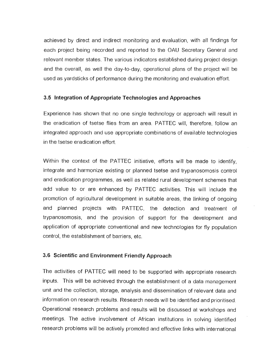achieved by direct and indirect monitoring and evaluation, with all findings for each project being recorded and reported to the OAU Secretary General and relevant member states. The various indicators established during project design and the overall, as well the day-to-day, operational plans of the project will be used as yardsticks of performance during the monitoring and evaluation effort.

# **3.5 Integration of Appropriate Technologies and Approaches**

Experience has shown that no one single technology or approach will result in the eradication of tsetse flies from an area. PATTEC will, therefore, follow an integrated approach and use appropriate combinations of available technologies in the tsetse eradication effort.

Within the context of the PATTEC initiative, efforts will be made to identify, integrate and harmonize existing or planned tsetse and trypanosomosis control and eradication programmes, as well as related rural development schemes that add value to or are enhanced by PATTEC activities. This will include the promotion of agricultural development in suitable areas, the linking of ongoing and planned projects with PATTEC, the detection and treatment of trypanosomosis, and the provision of support for the development and application of appropriate conventional and new technologies for fly population control, the establishment of barriers, etc.

#### **3.6 Scientific and Environment Friendly Approach**

The activities of PATTEC will need to be supported with appropriate research inputs. This will be achieved through the establishment of a data management unit and the collection, storage, analysis and dissemination of relevant data and information on research results. Research needs will be identified and prioritised. Operational research problems and results will be discussed at workshops and meetings. The active involvement of African institutions in solving identified research problems will be actively promoted and effective links with international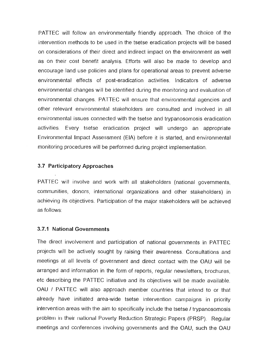PATTEC will follow an environmentally friendly approach. The choice of the intervention methods to be used in the tsetse eradication projects will be based on considerations of their direct and indirect impact on the environment as well as on their cost benefit analysis. Efforts will also be made to develop and encourage land use policies and plans for operational areas to prevent adverse environmental effects of post-eradication activities. Indicators of adverse environmental changes will be identified during the monitoring and evaluation of environmental changes. PATTEC will ensure that environmental agencies and other relevant environmental stakeholders are consulted and involved in all environmental issues connected with the tsetse and trypanosomosis eradication activities. Every tsetse eradication project will undergo an appropriate Environmental Impact Assessment (EIA) before it is started, and environmental monitoring procedures will be performed during project implementation.

#### **3.7 Participatory Approaches**

PATTEC will involve and work with all stakeholders (national governments, communities, donors, international organizations and other stakeholders) in achieving its objectives. Participation of the major stakeholders will be achieved as follows:

#### **3.7.1 National Governments**

The direct involvement and participation of national governments in PATTEC projects will be actively sought by raising their awareness. Consultations and meetings at all levels of government and direct contact with the OAU will be arranged and information in the form of reports, regular newsletters, brochures, etc describing the PATTEC initiative and its objectives will be made available. OAU / PATTEC will also approach member countries that intend to or that already have initiated area-wide tsetse intervention campaigns in priority intervention areas with the aim to specifically include the tsetse / trypanosomosis problem in their national Poverty Reduction Strategic Papers (PRSP). Regular meetings and conferences involving governments and the OAU, such the OAU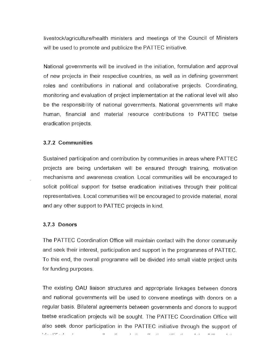livestock/agriculture/health ministers and meetings of the Council of Ministers will be used to promote and publicize the PATTEC initiative.

National governments will be involved in the initiation, formulation and approval of new projects in their respective countries, as well as in defining government roles and contributions in national and collaborative projects. Coordinating, monitoring and evaluation of project implementation at the national level will also be the responsibility of national governments. National governments will make human, financial and material resource contributions to PATTEC tsetse eradication projects.

#### **3.7.2 Communities**

Sustained participation and contribution by communities in areas where PATTEC projects are being undertaken will be ensured through training, motivation mechanisms and awareness creation. Local communities will be encouraged to solicit political support for tsetse eradication initiatives through their political representatives. Local communities will be encouraged to provide material, moral and any other support to PATTEC projects in kind.

#### **3.7.3 Donors**

bara di elemento

The PATTEC Coordination Office will maintain contact with the donor community and seek their interest, participation and support in the programmes of PATTEC. To this end, the overall programme will be divided into small viable project units for funding purposes.

The existing OAU liaison structures and appropriate linkages between donors and national governments will be used to convene meetings with donors on a regular basis. Bilateral agreements between governments and donors to support tsetse eradication projects will be sought. The PATTEC Coordination Office will also seek donor participation in the PATTEC initiative through the support of

 $\frac{1}{2}$ 

للديد

 $\mathbf{r} = \mathbf{r}$ 

 $\ddot{\phantom{a}}$ 

 $\ddotsc$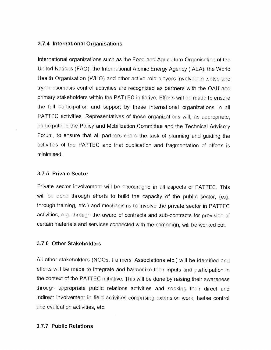#### **3.7.4 International Organisations**

International organizations such as the Food and Agriculture Organisation of the United Nations (FAO), the International Atomic Energy Agency (IAEA), the World Health Organisation (WHO) and other active role players involved in tsetse and trypanosomosis control activities are recognized as partners with the OAU and primary stakeholders within the PATTEC initiative. Efforts will be made to ensure the full participation and support by these international organizations in all PATTEC activities. Representatives of these organizations will, as appropriate, participate in the Policy and Mobilization Committee and the Technical Advisory Forum, to ensure that all partners share the task of planning and guiding the activities of the PATTEC and that duplication and fragmentation of efforts is minimised.

#### **3.7.5 Private Sector**

Private sector involvement will be encouraged in all aspects of PATTEC. This will be done through efforts to build the capacity of the public sector, (e.g. through training, etc.) and mechanisms to involve the private sector in PATTEC activities, e.g. through the award of contracts and sub-contracts for provision of certain materials and services connected with the campaign, will be worked out.

#### **3.7.6 Other Stakeholders**

All other stakeholders (NGOs, Farmers' Associations etc.) will be identified and efforts will be made to integrate and harmonize their inputs and participation in the context of the PATTEC initiative. This will be done by raising their awareness through appropriate public relations activities and seeking their direct and indirect involvement in field activities comprising extension work, tsetse control and evaluation activities, etc.

#### **3.7.7 Public Relations**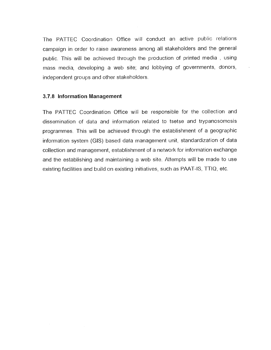The PATTEC Coordination Office will conduct an active public relations campaign in order to raise awareness among all stakeholders and the general public. This will be achieved through the production of printed media , using mass media, developing a web site; and lobbying of governments, donors, independent groups and other stakeholders.

#### **3.7.8 Information Management**

The PATTEC Coordination Office will be responsible for the collection and dissemination of data and information related to tsetse and trypanosomosis programmes. This will be achieved through the establishment of a geographic information system (GIS) based data management unit, standardization of data collection and management, establishment of a network for information exchange and the establishing and maintaining a web site. Attempts will be made to use existing facilities and build on existing initiatives, such as PAAT-IS, TTIQ, etc.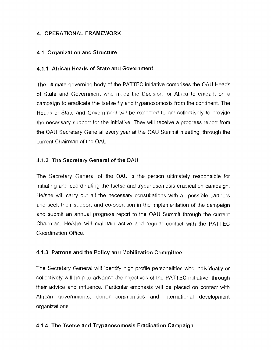# **4. OPERATIONAL FRAMEWORK**

# **4.1 Organization and Structure**

# **4.1.1 African Heads of State and Government**

The ultimate governing body of the PATTEC initiative comprises the OAU Heads of State and Government who made the Decision for Africa to embark on a campaign to eradicate the tsetse fly and trypanosomosis from the continent. The Heads of State and Government will be expected to act collectively to provide the necessary support for the initiative. They will receive a progress report from the OAU Secretary General every year at the OAU Summit meeting, through the current Chairman of the OAU.

# **4.1.2 The Secretary General of the OAU**

The Secretary General of the OAU is the person ultimately responsible for initiating and coordinating the tsetse and trypanosomosis eradication campaign. He/she will carry out all the necessary consultations with all possible partners and seek their support and co-operation in the implementation of the campaign and submit an annual progress report to the OAU Summit through the current Chairman. He/she will maintain active and regular contact with the PATTEC Coordination Office.

# **4.1.3 Patrons and the Policy and Mobilization Committee**

The Secretary General will identify high profile personalities who individually or collectively will help to advance the objectives of the PATTEC initiative, through their advice and influence. Particular emphasis will **be** placed on contact with African governments, donor communities and international development organizations.

# **4.1.4 The Tsetse and Trypanosomosis Eradication Campaign**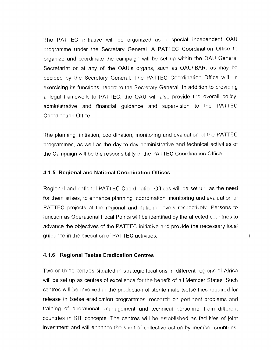The PATTEC initiative will be organized as a special independent OAU programme under the Secretary General. A PATTEC Coordination Office to organize and coordinate the campaign will be set up within the OAU General Secretariat or at any of the OAU's organs, such as OAU/IBAR, as may be decided by the Secretary General. The PATTEC Coordination Office will, in exercising its functions, report to the Secretary General. In addition to providing a legal framework to PATTEC, the OAU will also provide the overall policy, administrative and financial guidance and supervision to the PATTEC Coordination Office.

The planning, initiation, coordination, monitoring and evaluation of the PATTEC programmes, as well as the day-to-day administrative and technical activities of the Campaign will be the responsibility of the PATTEC Coordination Office.

#### **4.1.5 Regional and National Coordination Offices**

Regional and national PATTEC Coordination Offices will be set up, as the need for them arises, to enhance planning, coordination, monitoring and evaluation of PATTEC projects at the regional and national levels respectively. Persons to function as Operational Focal Points will be identified by the affected countries to advance the objectives of the PATTEC initiative and provide the necessary local guidance in the execution of PATTEC activities.

 $\mathfrak{f}$ 

#### **4.1.6 Regional Tsetse Eradication Centres**

Two or three centres situated in strategic locations in different regions of Africa will be set up as centres of excellence for the benefit of all Member States. Such centres will be involved in the production of sterile male tsetse flies required for release in tsetse eradication programmes; research on pertinent problems and training of operational, management and technical personnel from different countries in SIT concepts. The centres will be established as facilities of joint investment and will enhance the spirit of collective action by member countries,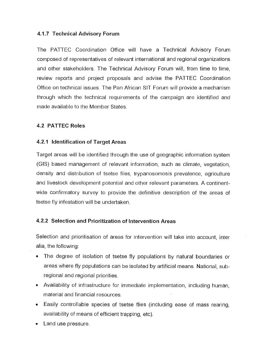# **4.1.7 Technical Advisory Forum**

The PATTEC Coordination Office will have a Technical Advisory Forum composed of representatives of relevant international and regional organizations and other stakeholders. The Technical Advisory Forum will, from time to time, review reports and project proposals and advise the PATTEC Coordination Office on technical issues. The Pan African SIT Forum will provide a mechanism through which the technical requirements of the campaign are identified and made available to the Member States.

# **4.2 PATTEC Roles**

# **4.2.1 Identification of Target Areas**

Target areas will be identified through the use of geographic information system (GIS) based management of relevant information, such as climate, vegetation, density and distribution of tsetse flies, trypanosomosis prevalence, agriculture and livestock development potential and other relevant parameters. A continentwide confirmatory survey to provide the definitive description of the areas of tsetse fly infestation will be undertaken.

# **4.2.2 Selection and Prioritization of Intervention Areas**

Selection and prioritisation of areas for intervention will take into account, inter alia, the following:

- The degree of isolation of tsetse fly populations by natural boundaries or areas where fly populations can be isolated by artificial means. National, subregional and regional priorities.
- Availability of infrastructure for immediate implementation, including human, material and financial resources.
- Easily controllable species of tsetse flies (including ease of mass rearing, availability of means of efficient trapping, etc).
- Land use pressure.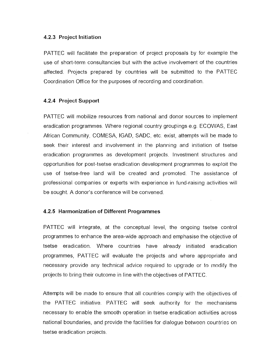#### **4.2.3 Project Initiation**

PATTEC will facilitate the preparation of project proposals by for example the use of short-term consultancies but with the active involvement of the countries affected. Projects prepared by countries will be submitted to the PATTEC Coordination Office for the purposes of recording and coordination.

#### **4.2.4 Project Support**

PATTEC will mobilize resources from national and donor sources to implement eradication programmes. Where regional country groupings e.g. ECOWAS, East African Community, COMESA, IGAD, SADC, etc. exist, attempts will be made to seek their interest and involvement in the planning and initiation of tsetse eradication programmes as development projects. Investment structures and opportunities for post-tsetse eradication development programmes to exploit the use of tsetse-free land will be created and promoted. The assistance of professional companies or experts with experience in fund-raising activities will be sought. A donor's conference will be convened.

#### **4.2.5 Harmonization of Different Programmes**

PATTEC will integrate, at the conceptual level, the ongoing tsetse control programmes to enhance the area-wide approach and emphasise the objective of tsetse eradication. Where countries have already initiated eradication programmes, PATTEC will evaluate the projects and where appropriate and necessary provide any technical advice required to upgrade or to modify the projects to bring their outcome in line with the objectives of PATTEC.

Attempts will be made to ensure that all countries comply with the objectives of the PATTEC initiative. PATTEC will seek authority for the mechanisms necessary to enable the smooth operation in tsetse eradication activities across national boundaries, and provide the facilities for dialogue between countries on tsetse eradication projects.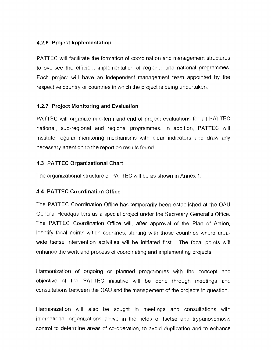# **4.2.6 Project Implementation**

PATTEC will facilitate the formation of coordination and management structures to oversee the efficient implementation of regional and national programmes. Each project will have an independent management team appointed by the respective country or countries in which the project is being undertaken.

#### **4.2.7 Project Monitoring and Evaluation**

PATTEC will organize mid-term and end of project evaluations for all PATTEC national, sub-regional and regional programmes. In addition, PATTEC will institute regular monitoring mechanisms with clear indicators and draw any necessary attention to the report on results found.

#### **4.3 PATTEC Organizational Chart**

The organizational structure of PATTEC will be as shown in Annex 1.

# **4.4 PATTEC Coordination Office**

The PATTEC Coordination Office has temporarily been established at the OAU General Headquarters as a special project under the Secretary General's Office. The PATTEC Coordination Office will, after approval of the Plan of Action, identify focal points within countries, starting with those countries where areawide tsetse intervention activities will be initiated first. The focal points will enhance the work and process of coordinating and implementing projects.

Harmonization of ongoing or planned programmes with the concept and objective of the PATTEC initiative will be done through meetings and consultations between the OAU and the management of the projects in question.

Harmonization will also be sought in meetings and consultations with international organizations active in the fields of tsetse and trypanosomosis control to determine areas of co-operation, to avoid duplication and to enhance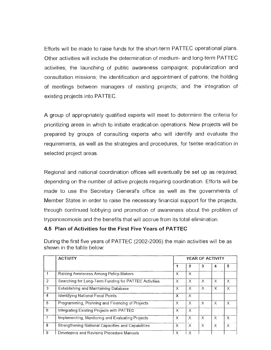Efforts will be made to raise funds for the short-term PATTEC operational plans. Other activities will include the determination of medium- and long-term PATTEC activities; the launching of public awareness campaigns; popularization and consultation missions; the identification and appointment of patrons; the holding of meetings between managers of existing projects; and the integration of existing projects into PATTEC.

A group of appropriately qualified experts will meet to determine the criteria for prioritizing areas in which to initiate eradication operations. New projects will be prepared by groups of consulting experts who will identify and evaluate the requirements, as well as the strategies and procedures, for tsetse eradication in selected project areas.

Regional and national coordination offices will eventually be set up as required, depending on the number of active projects requiring coordination. Efforts will be made to use the Secretary General's office as well as the governments of Member States in order to raise the necessary financial support for the projects, through continued lobbying and promotion of awareness about the problem of trypanosomosis and the benefits that will accrue from its total elimination.

#### **4.5 Plan of Activities for the First Five Years of PATTEC**

|                | <b>ACTIVITY</b>                                       | YEAR OF ACTIVITY |          |          |          |          |
|----------------|-------------------------------------------------------|------------------|----------|----------|----------|----------|
|                |                                                       |                  | 2        | 3        | 4        | 5.       |
|                | Raising Awareness Among Policy-Makers                 | X                | $\times$ |          |          |          |
| $\overline{2}$ | Searching for Long-Term Funding for PATTEC Activities | $\times$         | $\times$ | $\times$ | $\times$ | X        |
| 3              | <b>Establishing and Maintaining Database</b>          | $\times$         | $\times$ | $\times$ | Χ        | X        |
| 4              | Identifying National Focal Points                     | X                | $\times$ |          |          |          |
| 5              | Programming, Planning and Financing of Projects       | $\times$         | $\times$ | $\chi$   | $\times$ | $\chi$   |
| 6              | Integrating Existing Projects with PATTEC             | X                | $\times$ |          |          |          |
| $\overline{7}$ | Implementing, Monitoring and Evaluating Projects      | $\times$         | $\times$ | $\times$ | X        | X        |
| 8              | Strengthening National Capacities and Capabilities    | $\times$         | $\times$ | $\times$ | Χ        | $\times$ |
| -9             | Developing and Revising Procedure Manuals             | x                |          |          |          |          |

During the first five years of PATTEC (2002-2006) the main activities will be as shown in the table below: